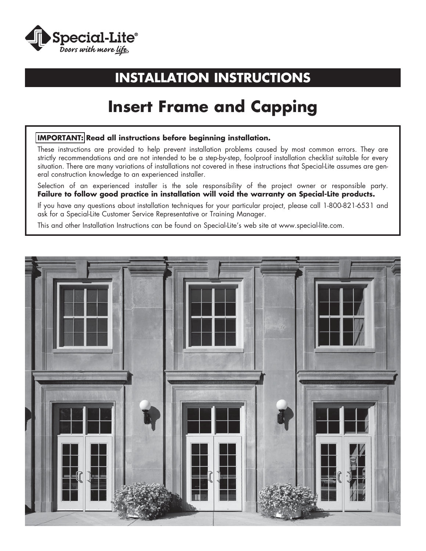

## **INSTALLATION INSTRUCTIONS**

## **Insert Frame and Capping**

#### **IMPORTANT: Read all instructions before beginning installation.**

These instructions are provided to help prevent installation problems caused by most common errors. They are strictly recommendations and are not intended to be a step-by-step, foolproof installation checklist suitable for every situation. There are many variations of installations not covered in these instructions that Special-Lite assumes are general construction knowledge to an experienced installer.

Selection of an experienced installer is the sole responsibility of the project owner or responsible party. **Failure to follow good practice in installation will void the warranty on Special-Lite products.**

If you have any questions about installation techniques for your particular project, please call 1-800-821-6531 and ask for a Special-Lite Customer Service Representative or Training Manager.

This and other Installation Instructions can be found on Special-Lite's web site at www.special-lite.com.

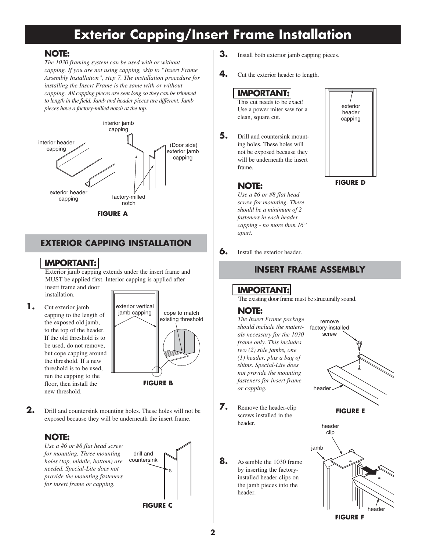## **Exterior Capping/Insert Frame Installation**

#### **NOTE:**

*The 1030 framing system can be used with or without capping. If you are not using capping, skip to "Insert Frame Assembly Installation", step 7. The installation procedure for installing the Insert Frame is the same with or without capping. All capping pieces are sent long so they can be trimmed to length in the field. Jamb and header pieces are different. Jamb pieces have a factory-milled notch at the top.*



**FIGURE A**

### **EXTERIOR CAPPING INSTALLATION**

#### **IMPORTANT:**

Exterior jamb capping extends under the insert frame and MUST be applied first. Interior capping is applied after insert frame and door installation.

**1.** Cut exterior jamb capping to the length of the exposed old jamb, to the top of the header. If the old threshold is to be used, do not remove, but cope capping around the threshold. If a new threshold is to be used, run the capping to the floor, then install the new threshold.



**2.** Drill and countersink mounting holes. These holes will not be exposed because they will be underneath the insert frame.

#### **NOTE:**

*Use a #6 or #8 flat head screw for mounting. Three mounting holes (top, middle, bottom) are needed. Special-Lite does not provide the mounting fasteners for insert frame or capping.*



- **3.** Install both exterior jamb capping pieces.
- **4.** Cut the exterior header to length.

#### **IMPORTANT:**

This cut needs to be exact! Use a power miter saw for a clean, square cut.

**5.** Drill and countersink mounting holes. These holes will not be exposed because they will be underneath the insert frame.

> *Use a #6 or #8 flat head screw for mounting. There should be a minimum of 2 fasteners in each header capping - no more than 16"*



**FIGURE D**

#### **6.** Install the exterior header.

*apart.*

 **NOTE:**

#### **INSERT FRAME ASSEMBLY**

## **IMPORTANT:**

The existing door frame must be structurally sound.

#### **NOTE:**

*The Insert Frame package should include the materials necessary for the 1030 frame only. This includes two (2) side jambs, one (1) header, plus a bag of shims. Special-Lite does not provide the mounting fasteners for insert frame or capping.*

- **7.** Remove the header-clip screws installed in the header.
- **8.** Assemble the 1030 frame by inserting the factoryinstalled header clips on the jamb pieces into the header.



**FIGURE E**

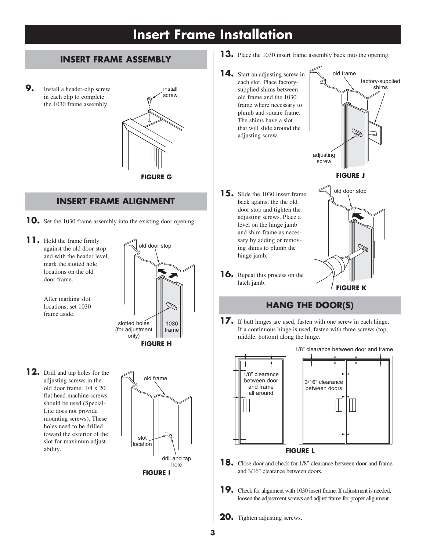## **Insert Frame Installation**

### **INSERT FRAME ASSEMBLY**

**9.** Install a header-clip screw in each clip to complete the 1030 frame assembly.



#### **INSERT FRAME ALIGNMENT**

- **10.** Set the 1030 frame assembly into the existing door opening.
- **11.** Hold the frame firmly against the old door stop and with the header level, mark the slotted hole locations on the old door frame.

 After marking slot locations, set 1030 frame aside.



**12.** Drill and tap holes for the adjusting screws in the old door frame. 1/4 x 20 flat head machine screws should be used (Special-Lite does not provide mounting screws). These holes need to be drilled toward the exterior of the slot for maximum adjustability.



- **13.** Place the 1030 insert frame assembly back into the opening.
- **14.** Start an adjusting screw in each slot. Place factorysupplied shims between old frame and the 1030 frame where necessary to plumb and square frame. The shims have a slot that will slide around the adjusting screw.



**FIGURE J**

- **15.** Slide the 1030 insert frame back against the the old door stop and tighten the adjusting screws. Place a level on the hinge jamb and shim frame as necessary by adding or removing shims to plumb the old door stop
- **16.** Repeat this process on the latch jamb.

hinge jamb.



## **HANG THE DOOR(S)**

**17.** If butt hinges are used, fasten with one screw in each hinge. If a continuous hinge is used, fasten with three screws (top, middle, bottom) along the hinge.



- **18.** Close door and check for 1/8" clearance between door and frame and 3/16" clearance between doors.
- **19.** Check for alignment with 1030 insert frame. If adjustment is needed, loosen the adjustment screws and adjust frame for proper alignment.
- **20.** Tighten adjusting screws.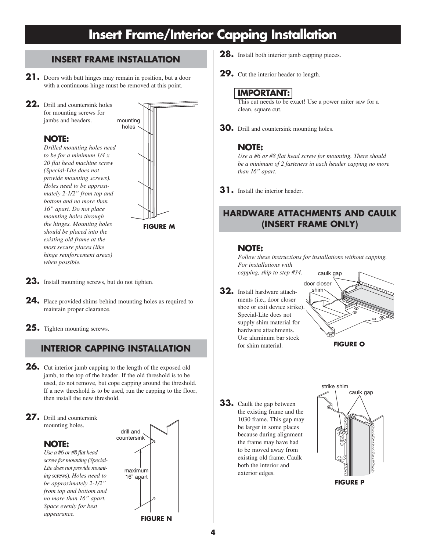## **Insert Frame/Interior Capping Installation**

## **INSERT FRAME INSTALLATION 28.** Install both interior jamb capping pieces.

- **21.** Doors with butt hinges may remain in position, but a door with a continuous hinge must be removed at this point.
- **22.** Drill and countersink holes for mounting screws for jambs and headers.

**NOTE:**

*Drilled mounting holes need to be for a minimum 1/4 x 20 flat head machine screw (Special-Lite does not provide mounting screws). Holes need to be approximately 2-1/2" from top and bottom and no more than 16" apart. Do not place mounting holes through the hinges. Mounting holes should be placed into the existing old frame at the most secure places (like hinge reinforcement areas) when possible.*



**FIGURE M**

- **23.** Install mounting screws, but do not tighten.
- **24.** Place provided shims behind mounting holes as required to maintain proper clearance.
- **25.** Tighten mounting screws.

## **INTERIOR CAPPING INSTALLATION**

- **26.** Cut interior jamb capping to the length of the exposed old jamb, to the top of the header. If the old threshold is to be used, do not remove, but cope capping around the threshold. If a new threshold is to be used, run the capping to the floor, then install the new threshold.
- **27.** Drill and countersink mounting holes.

### **NOTE:**

*Use a #6 or #8 flat head screw for mounting (Special-Lite does not provide mounting* screws). *Holes need to be approximately 2-1/2" from top and bottom and no more than 16" apart. Space evenly for best appearance.*



- 
- **29.** Cut the interior header to length.

## **IMPORTANT:**

This cut needs to be exact! Use a power miter saw for a clean, square cut.

**30.** Drill and countersink mounting holes.

#### **NOTE:**

*Use a #6 or #8 flat head screw for mounting. There should be a minimum of 2 fasteners in each header capping no more than 16" apart.*

**31.** Install the interior header.

## **HARDWARE ATTACHMENTS AND CAULK (INSERT FRAME ONLY)**

#### **NOTE:**

*Follow these instructions for installations without capping. For installations with* 

*capping, skip to step #34.*

**32.** Install hardware attachments (i.e., door closer shoe or exit device strike). Special-Lite does not supply shim material for hardware attachments. Use aluminum bar stock for shim material.



**33.** Caulk the gap between the existing frame and the 1030 frame. This gap may be larger in some places because during alignment the frame may have had to be moved away from existing old frame. Caulk both the interior and exterior edges.

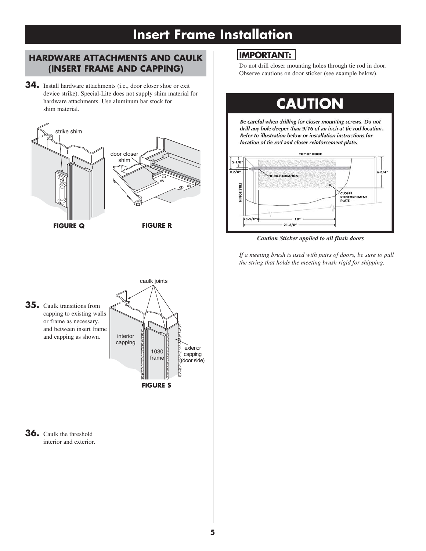## **Insert Frame Installation**

### **HARDWARE ATTACHMENTS AND CAULK (INSERT FRAME AND CAPPING)**

**34.** Install hardware attachments (i.e., door closer shoe or exit device strike). Special-Lite does not supply shim material for hardware attachments. Use aluminum bar stock for shim material.



## **IMPORTANT:**

Do not drill closer mounting holes through tie rod in door. Observe cautions on door sticker (see example below).

# **CAUTION**

Be careful when drilling for closer mounting screws. Do not drill any hole deeper than 9/16 of an inch at tie rod location. Refer to illustration below or installation instructions for location of tie rod and closer reinforcement plate.



*Caution Sticker applied to all flush doors*

*If a meeting brush is used with pairs of doors, be sure to pull the string that holds the meeting brush rigid for shipping.*

**35.** Caulk transitions from capping to existing walls or frame as necessary, and between insert frame and capping as shown.



**36.** Caulk the threshold interior and exterior.